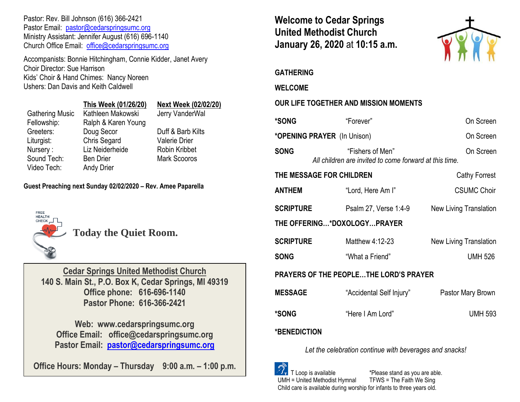Pastor: Rev. Bill Johnson (616) 366-2421 Pastor Email: [pastor@cedarspringsumc.org](mailto:pastor@cedarspringsumc.org) Ministry Assistant: Jennifer August (616) 696-1140 Church Office Email: [office@cedarspringsumc.org](mailto:office@cedarspringsumc.org)

Accompanists: Bonnie Hitchingham, Connie Kidder, Janet Avery Choir Director: Sue Harrison Kids' Choir & Hand Chimes: Nancy Noreen Ushers: Dan Davis and Keith Caldwell

|                        | This Week (01/26/20) | <b>Next Week (02/02/20)</b> |
|------------------------|----------------------|-----------------------------|
| <b>Gathering Music</b> | Kathleen Makowski    | Jerry VanderWal             |
| Fellowship:            | Ralph & Karen Young  |                             |
| Greeters:              | Doug Secor           | Duff & Barb Kilts           |
| Liturgist:             | <b>Chris Segard</b>  | <b>Valerie Drier</b>        |
| Nursery:               | Liz Neiderheide      | <b>Robin Kribbet</b>        |
| Sound Tech:            | <b>Ben Drier</b>     | <b>Mark Scooros</b>         |
| Video Tech:            | <b>Andy Drier</b>    |                             |
|                        |                      |                             |

**Guest Preaching next Sunday 02/02/2020 – Rev. Amee Paparella**



**Today the Quiet Room.**

**Cedar Springs United Methodist Church 140 S. Main St., P.O. Box K, Cedar Springs, MI 49319 Office phone: 616-696-1140 Pastor Phone: 616-366-2421**

**Web: www.cedarspringsumc.org Office Email: office@cedarspringsumc.org Pastor Email: [pastor@cedarspringsumc.org](mailto:pastor@cedarspringsumc.org)**

**Office Hours: Monday – Thursday 9:00 a.m. – 1:00 p.m.**

**Welcome to Cedar Springs United Methodist Church January 26, 2020** at **10:15 a.m.** 



**GATHERING** 

**WELCOME**

# **OUR LIFE TOGETHER AND MISSION MOMENTS**

| <b>*SONG</b>                           | "Forever"                                                                  | On Screen              |  |  |
|----------------------------------------|----------------------------------------------------------------------------|------------------------|--|--|
| *OPENING PRAYER (In Unison)            | On Screen                                                                  |                        |  |  |
| <b>SONG</b>                            | "Fishers of Men"<br>All children are invited to come forward at this time. | On Screen              |  |  |
|                                        | THE MESSAGE FOR CHILDREN                                                   | <b>Cathy Forrest</b>   |  |  |
| ANTHEM                                 | "Lord, Here Am I"                                                          | <b>CSUMC Choir</b>     |  |  |
| <b>SCRIPTURE</b>                       | Psalm 27, Verse 1:4-9                                                      | New Living Translation |  |  |
| THE OFFERING*DOXOLOGYPRAYER            |                                                                            |                        |  |  |
| <b>SCRIPTURE</b>                       | Matthew 4:12-23                                                            | New Living Translation |  |  |
| <b>SONG</b>                            | "What a Friend"                                                            | <b>UMH 526</b>         |  |  |
| PRAYERS OF THE PEOPLETHE LORD'S PRAYER |                                                                            |                        |  |  |
| <b>MESSAGE</b>                         | "Accidental Self Injury"                                                   | Pastor Mary Brown      |  |  |
| *SONG                                  | "Here I Am Lord"                                                           | <b>UMH 593</b>         |  |  |
| <b>*BENEDICTION</b>                    |                                                                            |                        |  |  |

*Let the celebration continue with beverages and snacks!*

 T Loop is available \*Please stand as you are able. UMH = United Methodist Hymnal TFWS = The Faith We Sing Child care is available during worship for infants to three years old.